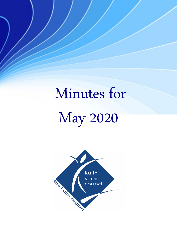# Minutes for May 2020

 $\overline{a}$ 

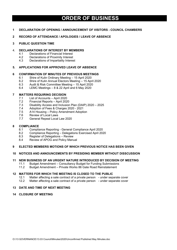# **ORDER OF BUSINESS**

#### **1 DECLARATION OF OPENING / ANNOUNCEMENT OF VISITORS - COUNCIL CHAMBERS**

#### **2 RECORD OF ATTENDANCE / APOLOGIES / LEAVE OF ABSENCE**

#### **3 PUBLIC QUESTION TIME**

# 4. **DECLARATIONS OF INTEREST BY MEMBERS**

- 4.1 Declarations of Financial Interest<br>4.2 Declarations of Proximity Interest
- Declarations of Proximity Interest
- 4.3 Declarations of Impartiality Interest

## **5. APPLICATIONS FOR APPROVED LEAVE OF ABSENCE**

#### **6 CONFIRMATION OF MINUTES OF PREVIOUS MEETINGS**

- 6.1 Shire of Kulin Ordinary Meeting 15 April 2020
- 6.2 Shire of Kulin Annual Electors Meeting 15 April 2020
- 6.3 Audit & Risk Committee Meeting 15 April 2020
- 6.4 LEMC Meetings 8 & 22 April and 6 May 2020

#### **7 MATTERS REQUIRING DECISION**

- 7.1 List of Accounts April 2020
- 7.2 Financial Reports April 2020<br>7.3 Disability Access and Inclusion
- 7.3 Disability Access and Inclusion Plan (DAIP) 2020 2025
- 7.4 Adoption of Fees & Charges 2020 2021
- 7.5 A14 Housing Policy Amendment Adoption<br>7.6 Review of Local Laws
- 7.6 Review of Local Laws<br>7.7 General Repeal Local
- 7.7 General Repeal Local Law 2020

#### **8 COMPLIANCE**

- 8.1 Compliance Reporting General Compliance April 2020
- 8.2 Compliance Reporting Delegations Exercised April 2020
- 8.3 Register of Delegations Review
- 8.4 Review of APOG and Policy Manual
- **9 ELECTED MEMBERS MOTIONS OF WHICH PREVIOUS NOTICE HAS BEEN GIVEN**

#### **10 NOTICES AND ANNOUNCEMENTS BY PRESIDING MEMBER WITHOUT DISSCUSSION**

# **11 NEW BUSINESS OF AN URGENT NATURE INTRODUCED BY DECISION OF MEETING**

- Budget Amendment Consultancy Budget for Funding Submissions
- 11.2 Budget Amendment Private Works 86 Gate Road Reinstatement

#### **12 MATTERS FOR WHICH THE MEETING IS CLOSED TO THE PUBLIC**

- 12.1 Matter affecting a sale contract of a private person under separate cover
- 12.2 Matter affecting a sale contract of a private person under separate cover

#### **13 DATE AND TIME OF NEXT MEETING**

**14 CLOSURE OF MEETING**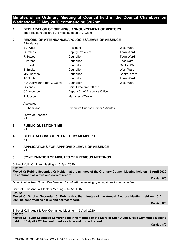# **Minutes of an Ordinary Meeting of Council held in the Council Chambers on Wednesday 20 May 2020 commencing 3:02pm**

## **1. DECLARATION OF OPENING / ANNOUNCEMENT OF VISITORS** The President declared the meeting open at 3:02pm

## **2. RECORD OF ATTENDANCE/APOLOGIES/LEAVE OF ABSENCE**

| Attendance                 |                                |                     |
|----------------------------|--------------------------------|---------------------|
| <b>BD</b> West             | President                      | West Ward           |
| G Robins                   | <b>Deputy President</b>        | <b>Town Ward</b>    |
| R Bowey                    | Councillor                     | <b>Town Ward</b>    |
| L Varone                   | Councillor                     | East Ward           |
| <b>BP</b> Taylor           | Councillor                     | <b>Central Ward</b> |
| <b>B</b> Smoker            | Councillor                     | West Ward           |
| <b>MS</b> Lucchesi         | Councillor                     | <b>Central Ward</b> |
| JK Noble                   | Councillor                     | <b>Town Ward</b>    |
| RD Duckworth (from 3.23pm) | Councillor                     | West Ward           |
| G Yandle                   | <b>Chief Executive Officer</b> |                     |
| C Vandenberg               | Deputy Chief Executive Officer |                     |
| J Hobson                   | Manager of Works               |                     |
|                            |                                |                     |

Apologies

N Thompson Executive Support Officer / Minutes

Leave of Absence Nil

- **3. PUBLIC QUESTION TIME** Nil
- **4. DECLARATIONS OF INTEREST BY MEMBERS** Nil
- **5. APPLICATIONS FOR APPROVED LEAVE OF ABSENCE** Nil

# **6. CONFIRMATION OF MINUTES OF PREVIOUS MEETINGS**

Shire of Kulin Ordinary Meeting – 15 April 2020

#### **01/0520**

**Moved Cr Robins Seconded Cr Noble that the minutes of the Ordinary Council Meeting held on 15 April 2020 be confirmed as a true and correct record.**

**Carried 8/0**

*Note: Audit & Risk Committee Meeting 1 April 2020 – meeting opening times to be corrected.*

Shire of Kulin Annual Electors Meeting – 15 April 2020

**02/0520**

**Moved Cr Smoker Seconded Cr Robins that the minutes of the Annual Electors Meeting held on 15 April 2020 be confirmed as a true and correct record.**

**Carried 8/0**

Shire of Kulin Audit & Risk Committee Meeting – 15 April 2020

#### **03/0520**

**Moved Cr Taylor Seconded Cr Varone that the minutes of the Shire of Kulin Audit & Risk Committee Meeting held on 15 April 2020 be confirmed as a true and correct record.**

**Carried 8/0**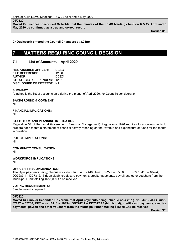#### **04/0520**

**Moved Cr Lucchesi Seconded Cr Noble that the minutes of the LEMC Meetings held on 8 & 22 April and 6 May 2020 be confirmed as a true and correct record.**

**Carried 8/0**

**Cr Duckworth entered the Council Chambers at 3.23pm**

# **7 MATTERS REQUIRING COUNCIL DECISION**

# **7.1 List of Accounts – April 2020**

**RESPONSIBLE OFFICER:** DCEO **FILE REFERENCE:** 12.06<br>**AUTHOR:** DCEO **AUTHOR: STRATEGIC REFERENCE/S:** 12.01 **DISCLOSURE OF INTEREST:** Nil

#### **SUMMARY:**

Attached is the list of accounts paid during the month of April 2020, for Council's consideration.

# **BACKGROUND & COMMENT:**

Nil

#### **FINANCIAL IMPLICATIONS:**

Nil

#### **STATUTORY AND PLANNING IMPLICATIONS:**

Regulation 34 of the Local Government (Financial Management) Regulations 1996 requires local governments to prepare each month a statement of financial activity reporting on the revenue and expenditure of funds for the month in question.

#### **POLICY IMPLICATIONS:**

Nil

**COMMUNITY CONSULTATION:**

Nil

**WORKFORCE IMPLICATIONS:**

Nil

#### **OFFICER'S RECOMMENDATION:**

That April payments being; cheque no's 257 (Trip), 435 - 440 (Trust), 37277 – 37230; EFT no's 16413 – 16494; DD7287.1 – DD7312.15 (Municipal), credit card payments, creditor payments, payroll and other vouchers from the Municipal Fund totalling \$655,089.47 be received.

#### **VOTING REQUIREMENTS:**

Simple majority required.

#### **05/0420**

**Moved Cr Smoker Seconded Cr Varone that April payments being; cheque no's 257 (Trip), 435 - 440 (Trust), 37277 – 37230; EFT no's 16413 – 16494; DD7287.1 – DD7312.15 (Municipal), credit card payments, creditor payments, payroll and other vouchers from the Municipal Fund totalling \$655,089.47 be received.**

**Carried 9/0**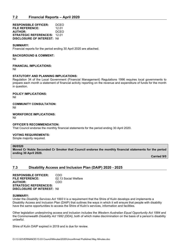# **7.2 Financial Reports – April 2020**

**RESPONSIBLE OFFICER:** DCEO **FILE REFERENCE:** 12.01<br>**AUTHOR:** DCEO **AUTHOR: STRATEGIC REFERENCE/S:** 12.01 **DISCLOSURE OF INTEREST:** Nil

#### **SUMMARY:**

Financial reports for the period ending 30 April 2020 are attached.

#### **BACKGROUND & COMMENT:**

Nil

#### **FINANCIAL IMPLICATIONS:**

Nil

#### **STATUTORY AND PLANNING IMPLICATIONS:**

Regulation 34 of the Local Government (Financial Management) Regulations 1996 requires local governments to prepare each month a statement of financial activity reporting on the revenue and expenditure of funds for the month in question.

#### **POLICY IMPLICATIONS:**

Nil

#### **COMMUNITY CONSULTATION:**

Nil

#### **WORKFORCE IMPLICATIONS:**

Nil

#### **OFFICER'S RECOMMENDATION:**

That Council endorse the monthly financial statements for the period ending 30 April 2020.

#### **VOTING REQUIREMENTS:**

Simple majority required.

#### **06/0520**

**Moved Cr Noble Seconded Cr Smoker that Council endorse the monthly financial statements for the period ending 30 April 2020.**

**Carried 9/0**

## **7.3 Disability Access and Inclusion Plan (DAIP) 2020 - 2025**

**RESPONSIBLE OFFICER: CDO<br>FILE REFERENCE: 02.13** 02.13 Social Welfare<br>CDO **AUTHOR: STRATEGIC REFERENCE/S: DISCLOSURE OF INTEREST:** Nil

#### **SUMMARY:**

Under the *Disability Services Act 1993* it is a requirement that the Shire of Kulin develops and implements a Disability Access and Inclusion Plan (DAIP) that outlines the ways in which it will ensure that people with disability have the same opportunities to access the Shire of Kulin's services, information and facilities.

Other legislation underpinning access and inclusion includes the *Western Australian Equal Opportunity Act 1984* and the Commonwealth *Disability Act 1992 (DDA)*, both of which make discrimination on the basis of a person's disability unlawful.

Shire of Kulin DAIP expired in 2019 and is due for review.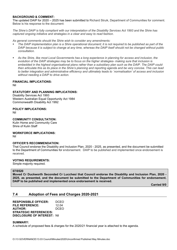#### **BACKGROUND & COMMENT:**

The updated DAIP for 2020 – 2025 has been submitted to Richard Struik, Department of Communities for comment. Below is his response to the document:

*The Shire's DAIP is fully compliant with our interpretation of the Disability Services Act 1993 and the Shire has captured ongoing initiative and strategies in a clear and easy to read fashion.*

*As general comments should the Shire wish to consider any amendments:*

- *The DAIP implementation plan is a Shire operational document; it is not required to be published as part of the DAIP because it is subject to change at any time, whereas the DAIP itself should not be changed without public consultation.*
- *As the Shire, like most Local Governments has a long experience in planning for access and inclusion, the evolution of the DAIP strategies may be to focus on the higher strategies- making sure that inclusion is embedded in the highest organisational plans rather than a subsidiary plan such as the DAIP. The DAIP could then articulate this as its place in the Shire's planning and reporting agenda and be very concise. This can lead to better integration and administrative efficiency and ultimately leads to `normalisation' of access and inclusion without needing a DAIP to drive action.*

#### **FINANCIAL IMPLICATIONS:**

Nil

#### **STATUTORY AND PLANNING IMPLICATIONS:**

Disability Services Act 1993 Western Australian Equal Opportunity Act 1984 Commonwealth Disability Act 1992

**POLICY IMPLICATIONS:**

Nil

# **COMMUNITY CONSULTATION:**

Kulin Home and Community Care Shire of Kulin Staff

**WORKFORCE IMPLICATIONS:** Nil

#### **OFFICER'S RECOMMENDATION:**

That Council endorse the Disability and Inclusion Plan, 2020 - 2025, as presented, and the document be submitted to the Department of Communities for endorsement. DAIP to be published and implemented once endorsement is received.

## **VOTING REQUIREMENTS:**

Simple majority required.

## **07/0520**

**Moved Cr Duckworth Seconded Cr Lucchesi that Council endorse the Disability and Inclusion Plan, 2020 - 2025, as presented, and the document be submitted to the Department of Communities for endorsement. DAIP to be published and implemented once endorsement is received.**

**Carried 9/0**

# **7.4 Adoption of Fees and Charges 2020-2021**

**RESPONSIBLE OFFICER:** DCEO **FILE REFERENCE:** 12.04<br>**AUTHOR:** DCFO **AUTHOR: STRATEGIC REFERENCE/S: DISCLOSURE OF INTEREST:** Nil

#### **SUMMARY:**

A schedule of proposed fees & charges for the 2020/21 financial year is attached to the agenda.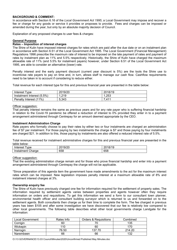#### **BACKGROUND & COMMENT:**

In accordance with Section 6.16 of the *Local Government Act 1995*, a Local Government may impose and recover a fee or charge for any goods or service it provides or proposes to provide. Fees and charges can be imposed or amended during the year, but only by an absolute majority decision of Council.

Explanation of any proposed changes to user fees & charges:

#### **General Purpose**

#### **Rates – Imposition of interest charges**

The Shire of Kulin have imposed interest charges for rates which are paid after the due date or on an instalment plan in accordance with Section 6.51 of the Local Government Act 1995. The Local Government (Financial Management) Regulations 1996 prescribe the maximum rate of interest to be imposed on the late payment of rates and payment of rates by instalment plan as 11% and 5.5% respectively. Historically, the Shire of Kulin have charged the maximum allowable rate of 11% (and 5.5% for instalment payers) however, under Section 6.51 of the Local Government Act 1995, are able to consider an alternative (lower) rate.

Penalty interest and the early payment discount (current year discount is 5%) are the tools the Shire use to incentivise rate payers to pay on time and, in turn, allows staff to manage our cash flow. Cashflow requirements need to be taken in to account if considering to reduce either.

Total revenue for each interest type for this and previous financial year are presented in the table below:

| Interest Type              | 2019/20 | 2018/19 |
|----------------------------|---------|---------|
| Instalment Interest (5.5%) | ,219    | .253    |
| Penalty Interest (11%)     | 5.343   | .411    |

#### Officer suggestion:

That penalty interest remains the same as previous years and for any rate payer who is suffering financial hardship in relation to the Covid-19 pandemic be offered a reduction of interest to 0% provided they enter in to a payment arrangement administered through Centrepay for an amount deemed appropriate by the CEO.

#### **Instalment Administration Charge**

Rate payers who formally choose to pay their rates by either two or four instalments are charged an administration fee of \$7 per instalment. For those paying by two instalments the charge is \$7 and those paying by four instalments are charged \$21. In addition to this, those paying by instalments are also offered a reduced interest rate of 5.5%.

Total revenue received for instalment administrative charges for this and previous financial year are presented in the table below:

| $-0.000$<br>vne<br><br>еs                 | $\sqrt{2}$<br>$\overline{\phantom{a}}$<br>nn.<br>J.<br>— U<br>$\overline{\phantom{a}}$ | 0110<br>∸∽<br>ີ |
|-------------------------------------------|----------------------------------------------------------------------------------------|-----------------|
| 10000000<br>arde<br>.<br>ier<br>UNDI<br>. | ero<br>ხებ                                                                             | 658             |

#### Officer suggestion:

That the existing administration charge remain and for those who prove financial hardship and enter into a payment arrangement administered through Centrepay the charge will not be applicable.

\*Since preparation of this agenda item the government have made amendments to the act for the maximum interest rates which can be imposed. New legislation imposes penalty interest at a maximum allowable rate of 8% and instalment interest charges at 3%.

#### **Ownership enquiry fee**

The Shire of Kulin have previously charged one fee for information required for the settlement of property sales. The information required by settlement agents varies between properties and agents however often they require information on orders and requisitions. To get this information we send a form to our consultant town planner, environmental health officer and consultant building surveyor which is returned to us and forwarded on to the settlement agents. Both consultants then charge us for their time to complete the form. The fee charged in previous years has been \$105 and after some investigation we have discovered that our fee is relatively low compared to other local governments. The following table describes what other local governments charge Landgate for the information:

| Local Government | Rates Info | Orders & Requisitions | Combined |
|------------------|------------|-----------------------|----------|
| Corrigin         | 60         |                       | 135      |
| Wickepin         | 110        | 60                    | 170      |
| Narrogin         | 76.50      | 137.70                | 214.20   |
| Narembeen        | 66         | 66                    | 132      |

O:\13 GOVERNANCE\13.03 Council\Minutes\2020\Unconfirmed Published May Minutes.doc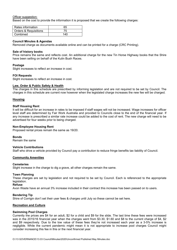#### Officer suggestion:

Based on the cost to provide the information it is proposed that we create the following charges:

| l Rates information   | 65  |
|-----------------------|-----|
| Orders & Requisitions | 75  |
| Combined              | 140 |

#### **Council Minutes & Agendas**

Removed charge as documents available online and can be printed for a charge (CRC Printing).

#### **Sale of history books**

Price remains the same and reflects cost. An additional charge for the new Tin Horse Highway books that the Shire have been selling on behalf of the Kulin Bush Races.

#### **Postage**

Slight increases to reflect an increase in cost.

#### **FOI Requests**

Slight increases to reflect an increase in cost.

#### **Law, Order & Public Safety & Health**

The charges in this schedule are prescribed by informing legislation and are not required to be set by Council. The charges in this schedule are current now however when the legislated charge increases the new fee will be charged.

#### **Housing**

#### **Staff Housing Rent**

It will be difficult for an increase in rates to be imposed if staff wages will not be increased. Wage increases for officer level staff are determined by Fair Work Australia and provided to Councils close to the end of the financial year. If any increase is prescribed a similar rate increase could be added to the cost of rent. The new charge will need to be advertised for four weeks prior to being charged.

#### **Non-Employee Housing Rent**

Proposed rental prices remain the same as 19/20.

#### **Bonds**

Remain the same

#### **Vehicle Contributions**

Staff who drive a vehicle provided by Council pay a contribution to reduce fringe benefits tax liability of Council.

#### **Community Amenities**

#### **Cemeteries**

Slight increase in the charge to dig a grave, all other charges remain the same.

#### **Town Planning**

These charges are set by legislation and not required to be set by Council. Each is referenced to the appropriate legislation.

#### **Refuse**

Avon Waste have an annual 3% increase included in their contract this increase has been passed on to users.

#### **Bendering Tip**

Shire of Corrigin don't set their user fees & charges until July so these cannot be set here.

#### **Recreation and Culture**

#### **Swimming Pool Charges**

Currently the prices are \$4 for an adult, \$2 for a child and \$9 for the slide. The last time these fees were increased was in the 2015/16 financial year when the charges went from \$3.30, \$1.60 and \$8 to the current charge of \$4, \$2 and \$9 respectively. Due to the low value of these fees they're not increased each year as a 3-5% increase is negligible. While the current pandemic might mean it is not appropriate to increase pool charges Council might consider increasing this fee in this or the next financial year.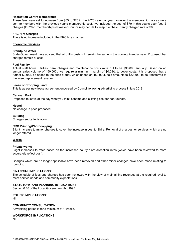#### **Recreation Centre Membership**

These fees were set to increase from \$65 to \$70 in the 2020 calendar year however the membership notices were sent to members with the previous year's membership cost. I've included the cost of \$70 in this year's user fees & charges (for 2021 memberships) however Council may decide to keep it at the currently charged rate of \$65.

#### **FRC Hire Charges**

There is no increase included in the FRC hire charges.

#### **Economic Services**

#### **Standpipe Water**

State Government have advised that all utility costs will remain the same in the coming financial year. Proposed that charges remain at cost.

#### **Fuel Facility**

Actual staff hours, utilities, bank charges and maintenance costs work out to be \$36,000 annually. Based on an annual sales volume of 450,000L we require a minimum margin of \$0.08/L to cover costs. It is proposed that a further \$0.05/L be added to the price of fuel, which based on 450,000L sold amounts to \$22,500, to be transferred to the asset replacement reserve.

#### **Lease of Cropping Land**

This is as per new lease agreement endorsed by Council following advertising process in late 2019.

#### **Caravan Park**

Proposed to leave at the pay what you think scheme and existing cost for non-tourists.

#### **Hostel**

No change in price proposed.

#### **Building**

Charges set by legislation

#### **CRC Printing/Photocopying**

Slight increase to minor charges to cover the increase in cost to Shire. Removal of charges for services which are no longer offered.

## **Works**

#### **Private works**

Slight increases to rates based on the increased hourly plant allocation rates (which have been reviewed to more accurately reflect cost).

Charges which are no longer applicable have been removed and other minor changes have been made relating to rounding.

#### **FINANCIAL IMPLICATIONS:**

The schedule of fees and charges has been reviewed with the view of maintaining revenues at the required level to meet service needs and community expectations.

#### **STATUTORY AND PLANNING IMPLICATIONS:**

Section 6.16 of the Local Government Act 1995

## **POLICY IMPLICATIONS:**

Nil

**COMMUNITY CONSULTATION:**

Advertising period is for a minimum of 4 weeks.

**WORKFORCE IMPLICATIONS:**

Nil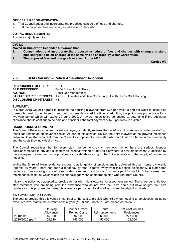#### **OFFICER'S RECOMMENDATION:**

- 1. That Council adopt and incorporate the proposed schedule of fees and charges.
- 2. That the proposed fees and charges take effect 1 July 2020.

#### **VOTING REQUIREMENTS:**

Absolute majority required.

#### **08/0520**

**Moved Cr Duckworth Seconded Cr Varone that:**

- **1. Council adopt and incorporate the proposed schedule of fees and charges with changes to stand pipe charges to be on-charged at the same rate as charged by Water Corporation.**
- **2. The proposed fees and charges take effect 1 July 2020.**

**Carried 9/0**

## **7.5 A14 Housing – Policy Amendment Adoption**

**RESPONSIBLE OFFICER:** CEO<br>**FILE REFERENCE:** 04.04 04.04 Shire of Kulin Policy **AUTHOR:** Cassi-Dee Vandenberg **STRATEGIC REFERENCE/S:** 1.4 SCP, Liveable and Safe Community, 1.4.1b CBP – Staff Housing **DISCLOSURE OF INTEREST:** Nil

#### **SUMMARY:**

In March 2018 Council agreed to increase the housing allowance from \$35 per week to \$70 per week to incentivise those who seek to purchase or rent their own residence. At the time of adoption, the policy was put in place for a two-year period which will expire 30 June 2020. A review needs to be conducted to determine if the additional allowance should continue to be paid and consider if the total payment of \$70 per week is suitable.

#### **BACKGROUND & COMMENT:**

The Shire of Kulin as an open market employer, constantly reviews the benefits and incentives provided to staff, so that it can remain an employer of choice. As part of this constant review, the Shire is aware of the growing imbalance between Shire staff who rent from the Council as opposed to Shire staff who own their own home in the community and the costs they individually incur.

The Council recognises that for every staff member who owns their own home, there are serious financial decisions/impacts to buy and ultimately sell when/if retiring or moving elsewhere to new employment. A decision by the employee to own their home provides a considerable saving to the Shire in relation to the supply of residential housing.

Whilst the Shire of Kulin evidence suggest that longevity of employment is achieved through home ownership (approx. 10 years), there has been a tendency by staff to move away from this option. Additionally, a staff home owner also has ongoing costs of rates, water rates and consumption (currently paid for staff in Shire houses) and maintenance costs, all which widen the financial gap when compared to staff who rent from Council.

Initially the policy was adopted to provide renter with this allowance for a two-year period. There are currently four staff members who are being paid the allowance who do not own their own home but have sought their own residences. It is proposed to make this allowance permanent to all staff who meet the eligibility criteria.

#### **FINANCIAL IMPLICATIONS:**

The cost to provide this allowance in contrast to the cost to provide Council owned housing to employees, including executive level staff in the current financial year (YTD) and 2018/2019 are presented below.

|                  | Housing   | Council Owned/      | Rental         | Net Cost Council |
|------------------|-----------|---------------------|----------------|------------------|
|                  | Allowance | <b>Rented Costs</b> | Reimbursements | Residences       |
| 2018/2019        | 45.360    | 292,000             | 65,000         | 227,000          |
| 2019/2020 (part) | 58.240    | 156,000             | 53,000         | 103.000          |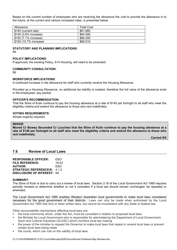Based on the current number of employees who are receiving the allowance the cost to provide the allowance in to the future, at the current and various increased rates, is presented below

| Allowance              | <b>Total Cost</b> |
|------------------------|-------------------|
| \$140 (current rate)   | \$61.880          |
| \$145 (3.6% increase)  | \$64.090          |
| \$150 (7.1% increase)  | \$66,300          |
| \$155 (10.7% increase) | \$68,510          |

#### **STATUTORY AND PLANNING IMPLICATIONS:**

Nil

#### **POLICY IMPLICATIONS:**

If approved, the existing Policy, A14 Housing, will need to be amended.

#### **COMMUNITY CONSULTATION:**

Nil

#### **WORKFORCE IMPLICATIONS:**

A continued increase in the allowance for staff who currently receive the Housing Allowance.

Provided as a Housing Allowance, no additional tax liability is created, therefore the full value of the allowance ends in the employees' pay packet.

#### **OFFICER'S RECOMMENDATION:**

That the Shire of Kulin continue to pay the housing allowance at a rate of \$140 per fortnight to all staff who meet the eligibility criteria and extend the allowance to those who rent indefinitely.

#### **VOTING REQUIREMENTS**:

Simple majority required

#### **09/0520**

**Moved Cr Bowey Seconded Cr Lucchesi that the Shire of Kulin continue to pay the housing allowance at a rate of \$140 per fortnight to all staff who meet the eligibility criteria and extend the allowance to those who rent indefinitely.**

**Carried 9/0**

## **7.6 Review of Local Laws**

| <b>RESPONSIBLE OFFICER:</b>         | ESO   |
|-------------------------------------|-------|
| <b>FILE REFERENCE:</b>              | 19 03 |
| <b>AUTHOR:</b>                      | ESO   |
| <b>STRATEGIC REFERENCE/S: 4.1.2</b> |       |
| <b>DISCLOSURE OF INTEREST: Nill</b> |       |

#### **SUMMARY:**

The Shire of Kulin is due to carry out a review of local laws. Section 3.16 of the *Local Government Act 1995* requires periodic reviews to determine whether or not it considers if a local law should remain unchanged, be repealed or amended.

The Local Government Act 1995 enables Western Australian local governments to make local laws considered necessary for the good government of their districts. Laws can only be made when authorised by the Local Government Act 1995 (the Act) or other written laws, but cannot be inconsistent with any State or federal law.

Other accountability mechanisms affecting local laws are:

- the local community which, under the Act, must be consulted in relation to proposed local laws
- the Minister for Local Government who is responsible for administering the Department of Local Government, Sport and Cultural Industries (DLGSC) which monitors local law making
- the power of the minister to request the Governor to make local laws that repeal or amend local laws or prevent certain local laws being made
- the courts, which can rule on the validity of local laws.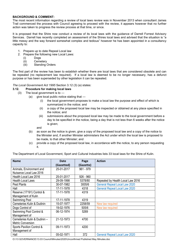## **BACKGROUND & COMMENT:**

The most recent information regarding a review of local laws review was in November 2013 when consultant James Trail commenced the process with Council agreeing to proceed with the review, it appears however that no further action was taken to progress the review process at that time, or since.

It is proposed that the Shire now conduct a review of its local laws with the guidance of Darrell Forrest Advisory Services. Darrell has recently completed an assessment of the Shires local laws and advised that the situation is "a little messy and the way forward somewhat complex and tedious" however he has been appointed in a consultancy capacity to:

- 1. Prepare up to date Repeal Local law
- 2. Prepare the following new Local Laws:
	- (i) Dogs
	- (ii) Cemetery
	- (iii) Standing Orders

The first part of the review has been to establish whether there are local laws that are considered obsolete and can be repealed (no replacement law required). If a local law is deemed to be no longer necessary, has a defunct purpose or has been superseded by other legislation it can be repealed.

*The Local Government Act 1995* Section 3.12 (3) (a) states:

# **3.12. Procedure for making local laws**

- (3) The local government is to
	- (a) give local public notice stating that
		- (i) the local government proposes to make a local law the purpose and effect of which is summarized in the notice; and
		- (ii) a copy of the proposed local law may be inspected or obtained at any place specified in the notice; and
		- (iii) submissions about the proposed local law may be made to the local government before a day to be specified in the notice, being a day that is not less than 6 weeks after the notice is given;

and

- (b) as soon as the notice is given, give a copy of the proposed local law and a copy of the notice to the Minister and, if another Minister administers the Act under which the local law is proposed to be made, to that other Minister; and
- (c) provide a copy of the proposed local law, in accordance with the notice, to any person requesting it.

The Department of Local Government, Sport and Cultural Industries lists 33 local laws for the Shire of Kulin.

| <b>Name</b>                  | <b>Date</b> | Page        | <b>Action</b>                        |
|------------------------------|-------------|-------------|--------------------------------------|
|                              | (Gazetted)  | (Gazette)   |                                      |
| Animals, Environment and     | 25-01-2017  | $961 - 979$ |                                      |
| Nuisance Local Law 2016      |             |             |                                      |
| Health Local Law 2016        | 25-01-2017  | $926 - 960$ |                                      |
| <b>Health Local Laws</b>     | 29-09-1998  | 5378/80     | Repealed by Health Local Law 2016    |
| Pest Plants                  | 30-07-1982  | 3005/6      | <b>General Repeal Local Law 2020</b> |
| Hall                         | 17-11-1978  | 4318        | <b>General Repeal Local Law 2020</b> |
| Reserve (17191) Control &    | 17-11-1978  | 4319        |                                      |
| Management of Kulin          |             |             |                                      |
| Swimming Pool                | 17-11-1978  | 4319        |                                      |
| Cemeteries Kulin & Dudinin   | 15-07-1977  | 2258/59     | New law required                     |
| Dogs Control of              | 19-02-1976  | 505/6       | New law required                     |
| Swimming Pool Control &      | 06-12-1974  | 5269        |                                      |
| Management of                |             |             |                                      |
| Cemeteries Kulin & Dudinin - | 21-12-1973  | 4700        |                                      |
| <b>Metric Conversion</b>     |             |             |                                      |
| Sports Pavilion Control &    | 09-11-1973  | 4200        |                                      |
| Management of                |             |             |                                      |
| Hall                         | 05-02-1971  | 372         | <b>General Repeal Local Law 2020</b> |

O:\13 GOVERNANCE\13.03 Council\Minutes\2020\Unconfirmed Published May Minutes.doc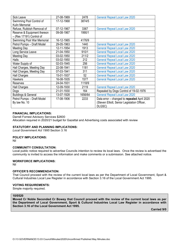| Sick Leave                     | 27-08-1969 | 2478    | <b>General Repeal Local Law 2020</b>         |
|--------------------------------|------------|---------|----------------------------------------------|
| Swimming Pool Control of       | 17-12-1968 | 3874/5  |                                              |
| Kulin Memorial                 |            |         |                                              |
| Refuse, Rubbish Removal of     | 07-12-1967 | 3367    | <b>General Repeal Local Law 2020</b>         |
| Reserve & Equipment thereon    | 09-08-1967 | 1990/1  |                                              |
| - (Res 17191) Control of       |            |         |                                              |
| Swimming Pool War Memorial     | 16-12-1965 | 4176/9  |                                              |
| Petrol Pumps - Draft Model     | 29-05-1963 | 1440    | <b>General Repeal Local Law 2020</b>         |
| Meeting Day                    | 12-11-1954 | 1913    | <b>General Repeal Local Law 2020</b>         |
| Long Service Leave             | 21-04-1950 | 910/1   | <b>General Repeal Local Law 2020</b>         |
| Meeting Day                    | 03-02-1950 | 211/2   | <b>General Repeal Local Law 2020</b>         |
| <b>Halls</b>                   | 03-02-1950 | 212     | <b>General Repeal Local Law 2020</b>         |
| Water Supply of                | 02-03-1945 | 256     | <b>General Repeal Local Law 2020</b>         |
| Hall Charges, Meeting Day      | 22-08-1941 | 1181    | <b>General Repeal Local Law 2020</b>         |
| Hall Charges, Meeting Day      | 07-03-1941 | 311     | <b>General Repeal Local Law 2020</b>         |
| Hall Charges                   | 15-01-1937 | 52      | <b>General Repeal Local Law 2020</b>         |
| <b>Hawkers</b>                 | 16-08-1935 | 1577    | <b>General Repeal Local Law 2020</b>         |
| Reserves                       | 24-04-1931 | 1118/9  |                                              |
| Hall Charges                   | 12-09-1930 | 2119    | <b>General Repeal Local Law 2020</b>         |
| Dogs                           | 21-01-1930 | 164     | Repealed by Dogs Control of 19-02-1976       |
| <b>Buildings &amp; General</b> | 13-07-1928 | 1656/64 | <b>General Repeal Local Law 2020</b>         |
| Petrol Pumps - Draft Model     | 17-08-1906 | 2233    | Data error - changed to repealed April 2020  |
| By law No. 10                  |            |         | (Steven Elliott, Senior Legislation Officer, |
|                                |            |         | DLGSC)                                       |

#### **FINANCIAL IMPLICATIONS:**

Darrell Forrest Advisory Services \$2600 Allocation required in 2020/21 budget for Gazettal and Advertising costs associated with review

#### **STATUTORY AND PLANNING IMPLICATIONS:**

*Local Government Act 1995* Section 3.16

#### **POLICY IMPLICATIONS:**

Nil

#### **COMMUNITY CONSULTATION:**

Local public notice required to advertise Councils intention to review its local laws. Once the review is advertised the community is invited to access the information and make comments or a submission. See attached notice.

## **WORKFORCE IMPLICATIONS:**

Nil

#### **OFFICER'S RECOMMENDATION:**

That Council proceed with the review of the current local laws as per the Department of Local Government, Sport & Cultural Industries Local Law Register in accordance with Section 3.16 of the Local Government Act 1995.

#### **VOTING REQUIREMENTS:**

Simple majority required.

#### **10/0520**

**Moved Cr Noble Seconded Cr Bowey that Council proceed with the review of the current local laws as per the Department of Local Government, Sport & Cultural Industries Local Law Register in accordance with Section 3.16 of the Local Government Act 1995.**

**Carried 9/0**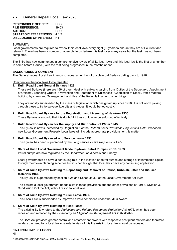# **7.7 General Repeal Local Law 2020**

| <b>RESPONSIBLE OFFICER:</b>         | ESO   |
|-------------------------------------|-------|
| <b>FILE REFERENCE:</b>              | 19.03 |
| <b>AUTHOR:</b>                      | ESO   |
| <b>STRATEGIC REFERENCE/S: 4.1.2</b> |       |
| <b>DISCLOSURE OF INTEREST: Nil</b>  |       |

#### **SUMMARY:**

Local governments are required to review their local laws every eight (8) years to ensure they are still current and relevant. There has been a number of attempts to undertake this task over many years but the task has not been completed.

The Shire has now commenced a comprehensive review of all its local laws and this local law is the first of a number to come before Council, with the rest being progressed in the months ahead.

#### **BACKGROUND & COMMENT**:

The General repeal Local Law intends to repeal a number of obsolete old By-laws dating back to 1928.

#### Comment on the local laws to be repealed

#### **1. Kulin Road Board General By-laws 1928**

These old By-laws (there are 156 of them) deal with subjects varying from 'Duties of the Secretary', 'Appointment of Officers', 'Standing Orders', 'Prevention and Abatement of Nuisances', 'Copulation of Stock', traffic matters, building by - laws and 'Management and Use of the Kulin Hall', among other things.

They are mostly superseded by the mass of legislation which has grown up since 1928. It is not worth picking through these to try to salvage little bits and pieces. It would be too costly.

#### **2. Kulin Road Board By-laws for the Registration and Licensing of Hawkers 1935**

These By-laws are so old that it is doubtful if they could now be enforced effectively.

#### **3. Kulin Road Board By-law for the supply and Distribution of Water 1945**

This By-law is now superseded by Regulation 5 of the *Uniform Local Provisions Regulations 1996.* Proposed new Local Government Property Local laws will include appropriate provisions for this matter.

#### **4. Kulin Road Board By-laws-Long Service Leave 1950**

This By-law has been superseded by the *Long service Leave Regulations 1977*

#### **5. Shire of Kulin Local Government Model By-laws (Petrol Pumps) No.10, 1963.**

Petrol pumps are now regulated by the Department of Minerals and Energy.

Local governments do have a continuing role in the location of petrol pumps and storage of inflammable liquids through their town planning schemes but it is not thought that local laws have any continuing application.

#### **6. Shire of Kulin By-laws Relating to Depositing and Removal of Refuse, Rubbish, Litter and Disused Materials 1967.**

This By-law is superseded by section 3.25 and Schedule 3.1 of the Local Government Act 1995.

The powers a local government needs exist in these provisions and the other provisions of Part 3, Division 3, Subdivision 2 of the Act, without resort to local laws.

## **7. Shire of Kulin By-laws Relating to Sick Leave 1969.**

This Local Law is superseded by improved award conditions under the MEU Award.

#### **8. Shire of Kulin By-laws Relating to Pest Plants**

The existing By-law refers to the *Agriculture and Related Resources Protection Act 1976*, which has been repealed and replaced by the *Biosecurity and Agriculture Management Act 2007* (BAM).

The BAM Act provides greater control and enforcement powers with respect to pest plant matters and therefore renders the need for a local law obsolete In view of this the existing local law should be repealed

#### **FINANCIAL IMPLICATIONS**:

Nil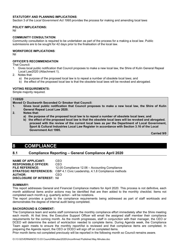#### **STATUTORY AND PLANNING IMPLICATIONS**:

Section 3 of the *Local Government Act 1995* provides the process for making and amending local laws

#### **POLICY IMPLICATIONS:**

Nil

#### **COMMUNITY CONSULTATION**:

Community consultation is required to be undertaken as part of the process for a making a local law. Public submissions are to be sought for 42 days prior to the finalisation of the local law.

#### **WORKFORCE IMPLICATIONS**:

Nil

#### **OFFICER'S RECOMMENDATION**

That Council:

- 1. Gives local public notification that Council proposes to make a new local law, the Shire of Kulin General Repeal Local Law2020 (Attachment 1).
- 2. Notes that:
	- a) the purpose of the proposed local law is to repeal a number of obsolete local laws; and
	- b) the effect of the proposed local law is that the obsolete local laws will be revoked and abrogated.

## **VOTING REQUIREMENTS:**

Simple majority required.

## **11/0520**

- **Moved Cr Duckworth Seconded Cr Smoker that Council:**
- **1. Gives local public notification that Council proposes to make a new local law, the Shire of Kulin General Repeal Local Law 2020.**
- **2. Notes that:**
	- **a) the purpose of the proposed local law is to repeal a number of obsolete local laws; and**
	- **b) the effect of the proposed local law is that the obsolete local laws will be revoked and abrogated. proceed with the review of the current local laws as per the Department of Local Government, Sport & Cultural Industries Local Law Register in accordance with Section 3.16 of the Local Government Act 1995.**

**Carried 9/0**

# **8 COMPLIANCE**

# **8.1 Compliance Reporting – General Compliance April 2020**

**NAME OF APPLICANT: CEO<br>RESPONSIBLE OFFICER: CEO RESPONSIBLE OFFICER:**<br>FILE REFERENCE: 12.05 Compliance 12.06 – Accounting Compliance **STRATEGIC REFERENCE/S:** CBP 4.1 Civic Leadership, 4.1.8 Compliance methods<br>AUTHOR: CEO **AUTHOR:** CEO **DISCLOSURE OF INTEREST:** Nil

#### **SUMMARY:**

This report addresses General and Financial Compliance matters for April 2020. This process is not definitive, each month additional items and/or actions may be identified that are then added to the monthly checklist. Items not completed each month e.g. quarterly action - will be notations.

The report provides a guide to the compliance requirements being addressed as part of staff workloads and demonstrates the degree of internal audit being completed.

#### **BACKGROUND & COMMENT:**

The Compliance team and works staff commence the monthly compliance effort immediately after the Shire meeting each month. At that time, the Executive Support Officer will email the assigned staff member their compliance requirements for the coming month. As the month progresses, staff in conjunction with their manager, the CEO or DCEO will determine the extent of work/action needed to complete items. During Agenda week, the Compliance Team again meets to ensure the monthly report/list is reviewed and that compliance items are completed. In preparing the Agenda report, the CEO or DCEO will sign off on completed items.

Prior month items not completed previously will be reported in the following month so Council remains aware.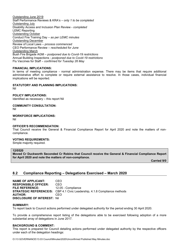Outstanding June 2019 Staff Performance Reviews & KRA's – *only 1 to be completed* Outstanding July Disability Access and Inclusion Plan Review - *completed* LEMC Reporting Outstanding October Conduct Fire Training Day *– as per LEMC minutes* Outstanding December Review of Local Laws – *process commenced* CEO Performance Review – *rescheduled for June* Outstanding March Bush Fire Brigade AGM – *postponed due to Covid-19 restrictions* Annual Building Inspections - *postponed due to Covid-19 restrictions* Flu Vaccines for Staff – *confirmed for Tuesday 26 May*

#### **FINANCIAL IMPLICATIONS:**

In terms of meeting compliance - normal administration expense. There may be items that require additional administrative effort to complete or require external assistance to resolve. In those cases, individual financial implications will be reported.

#### **STATUTORY AND PLANNING IMPLICATIONS:**

Nil

**POLICY IMPLICATIONS:**

Identified as necessary – this report Nil

**COMMUNITY CONSULTATION:**

Nil

**WORKFORCE IMPLICATIONS:**

Nil

#### **OFFICER'S RECOMMENDATION:**

That Council receive the General & Financial Compliance Report for April 2020 and note the matters of noncompliance.

#### **VOTING REQUIREMENTS:**

Simple majority required.

#### **12/0520**

**Moved Cr Duckworth Seconded Cr Robins that Council receive the General & Financial Compliance Report for April 2020 and note the matters of non-compliance.**

**Carried 9/0**

# **8.2 Compliance Reporting – Delegations Exercised – March 2020**

**NAME OF APPLICANT:** CEO **RESPONSIBLE OFFICER:** CEO **FILE REFERENCE:** 12.05 - Compliance **STRATEGIC REFERENCE/S:** CBP 4.1 Civic Leadership, 4.1.8 Compliance methods **AUTHOR:** CEO **DISCLOSURE OF INTEREST:** Nil

#### **SUMMARY:**

To report back to Council actions performed under delegated authority for the period ending 30 April 2020.

To provide a comprehensive report listing of the delegations able to be exercised following adoption of a more substantial array of delegations in June 2017.

#### **BACKGROUND & COMMENT:**

This report is prepared for Council detailing actions performed under delegated authority by the respective officers under each of the delegation headings: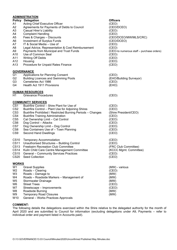|                 | <b>ADMINISTRATION</b>                                      |                                           |
|-----------------|------------------------------------------------------------|-------------------------------------------|
|                 | <b>Policy Delegation</b>                                   | <b>Officers</b>                           |
| A1              | Acting Chief Executive Officer                             | (CEO)                                     |
| A2              | Agreements for Payments of Debts to Council                | (CEO/DCEO)                                |
| A3              | <b>Casual Hirer's Liability</b>                            | (CEO)                                     |
| A4              | <b>Complaint Handling</b>                                  | (CEO)                                     |
| A5              | Fees & Charges - Discounts                                 | (CEO/DCEO/MW/MLS/CRC)                     |
| A6              | Investment of Surplus Funds                                | (CEO/DCEO)                                |
| A7              | IT & Social Media - Use of                                 | (CEO)                                     |
| A8              | Legal Advice, Representation & Cost Reimbursement          | (CEO)                                     |
| A9              | Payments from Municipal and Trust Funds                    | (CEO-to numerous staff - purchase orders) |
| A10             | Use of Common Seal                                         | (CEO)                                     |
| A11             | <b>Writing Off Debts</b>                                   | (CEO)                                     |
| A12             | Housing                                                    | (CEO)                                     |
| A13             | Procedure for Unpaid Rates Finance                         | (CEO)                                     |
|                 | <u>GOVERNANCE</u>                                          |                                           |
| G1              | Applications for Planning Consent                          | (CEO)                                     |
| G2              | <b>Building Licences and Swimming Pools</b>                | (EHO/Building Surveyor)                   |
| G3              | Cemeteries Act 1986                                        | (CEO)                                     |
| G4              | Health Act 1911 Provisions                                 | (EHO)                                     |
|                 | <b>HUMAN RESOURCES</b>                                     |                                           |
| H1              | <b>Grievance Procedures</b>                                | (CEO)                                     |
|                 | <b>COMMUNITY SERVICES</b>                                  |                                           |
| CS <sub>1</sub> | Bushfire Control - Shire Plant for Use of                  | (CEO)                                     |
| CS <sub>2</sub> | Bushfire Control - Plant Use for Adjoining Shires          | (CEO)                                     |
| CS <sub>3</sub> | Bushfire Prohibited / Restricted Burning Periods - Changes | (Shire President/CEO)                     |
| CS4             | <b>Bushfire Training Administration</b>                    | (CEO)                                     |
| CS <sub>5</sub> | Cat Ownership Limit - Cat Control                          | (CEO)                                     |
| CS <sub>6</sub> | Dog Control - Attacks                                      | (CEO)                                     |
| CS7             | Dog Ownership Limit - Dog Control                          | (CEO)                                     |
| CS8             | Sea Containers Use of - Town Planning                      | (CEO)                                     |
| CS <sub>9</sub> | <b>Second Hand Dwellings</b>                               | (CEO)                                     |
| <b>CS10</b>     | <b>Temporary Accommodation</b>                             | (CEO)                                     |
| <b>CS11</b>     | Unauthorised Structures - Building Control                 | (CEO)                                     |
| CS13            | <b>Freebairn Recreation Club Committee</b>                 | (FRC Club Committee)                      |
| <b>CS14</b>     | Kulin Child Care Centre Management Committee               | (KCCC Mgmt. Committee)                    |
| <b>CS15</b>     | <b>General - Community Services Practices</b>              | (CEO)                                     |
| <b>CS20</b>     | <b>Seed Collection</b>                                     | (CEO)                                     |
| <b>WORKS</b>    |                                                            |                                           |
| W1              | <b>Gravel Supplies</b>                                     | (MW) - various                            |
| W2              | Roads - Clearing                                           | (CEO)                                     |
| W3              | Roads - Damage to                                          | (MW)                                      |
| W4              | Roads - Roadside Markers - Management of                   | (MW)                                      |
| W5              | <b>Stormwater Drainage</b>                                 | (MW)                                      |
| W6              | <b>Street Trees</b>                                        | (CEO)                                     |
| W7              | Streetscape - Improvements                                 | (CEO)                                     |
| W8              | Roadside Burning                                           | (MW)                                      |
| W9              | <b>Temporary Road Closures</b>                             | (MW)                                      |
| W10             | General - Works Practices Approvals                        |                                           |
|                 |                                                            |                                           |

## **COMMENT:**

The following details the delegations exercised within the Shire relative to the delegated authority for the month of April 2020 and are submitted to Council for information (excluding delegations under A9, Payments – refer to individual order and payment listed in Accounts paid).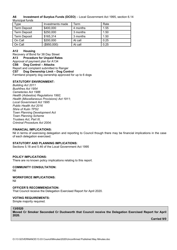#### **A6 Investment of Surplus Funds (DCEO)** – Local Government Act 1995, section 6.14 Municipal funds

| vpe                 | Investments made | ⊺erm     | Rate |
|---------------------|------------------|----------|------|
| <b>Term Deposit</b> | \$400,000        | 4 months | 1.55 |
| <b>Term Deposit</b> | \$250,000        | 3 months | 1.50 |
| <b>Term Deposit</b> | \$165,314        | 3 months | 1.50 |
| On Call             | \$200,000        | At call  | 0.25 |
| On Call             | (\$950,000)      | At call  | 0.25 |

## **A12 Housing**

Recovery of Bond for 38 Day Street **A13 Procedure for Unpaid Rates** Approval of payment plan for A134 **CS6 Dog Control – Attacks** Report and complaint submitted to Ranger **CS7 Dog Ownership Limit – Dog Control** Farmland property dog ownership approved for up to 6 dogs

## **STATUTORY ENVIRONMENT:**

*Building Act 2011 Bushfires Act 1954 Cemeteries Act 1986 Health (Asbestos) Regulations 1992; Health (Miscellaneous Provisions) Act 1911; Local Government Act 1995 Public Health Act 2016 Shire of Kulin TPS2 Town Planning Development Act Town Planning Scheme Trustees Act, Part III, Criminal Procedure Act 2004;*

## **FINANCIAL IMPLICATIONS:**

Nil in terms of exercising delegation and reporting to Council though there may be financial implications in the case of each delegation exercised.

## **STATUTORY AND PLANNING IMPLICATIONS:**

Sections 5.18 and 5.46 of the Local Government Act 1995

## **POLICY IMPLICATIONS:**

There are no known policy implications relating to this report.

# **COMMUNITY CONSULTATION:**

Nil

**WORKFORCE IMPLICATIONS:** Nil

## **OFFICER'S RECOMMENDATION:**

That Council receive the Delegation Exercised Report for April 2020.

# **VOTING REQUIREMENTS:**

Simple majority required.

# **13/0520**

**Moved Cr Smoker Seconded Cr Duckworth that Council receive the Delegation Exercised Report for April 2020.**

**Carried 9/0**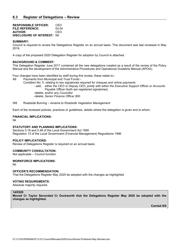| <b>RESPONSIBLE OFFICER:</b>         | CEO.  |
|-------------------------------------|-------|
| <b>FILE REFERENCE:</b>              | 04.04 |
| <b>AUTHOR:</b>                      | CEO   |
| <b>DISCLOSURE OF INTEREST: Nill</b> |       |

#### **SUMMARY:**

Council is required to review the Delegations Register on an annual basis. This document was last reviewed in May 2019.

A copy of the proposed 2020 Delegation Register for adoption by Council is attached.

#### **BACKGROUND & COMMENT:**

This Delegation Register June 2017 contained all the new delegations created as a result of the review of the Policy Manual and the development of the Administrative Procedures and Operational Guideline Manual (APOG).

Four changes have been identified by staff during this review, these relate to:-

A9 Payments from Municipal and Trust Funds:-

Condition No. 5. relating to two signatories required for cheques and online payments - add; *either the CEO or Deputy CEO, jointly with either the Executive Support Officer or Accounts Payable Officer* (both are registered signatories)

-delete; *and/or any Councillor* -delete; *Senior Finance Officer \$00*

W8 Roadside Burning – rename to *Roadside Vegetation Management* 

Each of the reviewed policies, practices or guidelines, details where the delegation is given and to whom.

#### **FINANCIAL IMPLICATIONS:**

Nil

#### **STATUTORY AND PLANNING IMPLICATIONS:**

Sections 5.18 and 5.46 of the Local Government Act 1995 Regulation 13 of the Local Government (Financial Management) Regulations 1996

#### **POLICY IMPLICATIONS:**

Review of Delegations Register is required on an annual basis.

#### **COMMUNITY CONSULTATION:**

Not applicable – Council function.

#### **WORKFORCE IMPLICATIONS:**

Nil

#### **OFFICER'S RECOMMENDATION:**

That the Delegations Register May 2020 be adopted with the changes as highlighted.

#### **VOTING REQUIREMENTS:**

Absolute majority required.

#### **14/0520**

**Moved Cr Taylor Seconded Cr Duckworth that the Delegations Register May 2020 be adopted with the changes as highlighted.**

**Carried 9/0**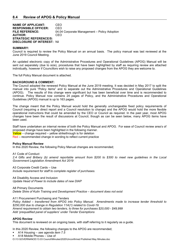**NAME OF APPLICANT:** CEO **RESPONSIBLE OFFICER:** CEO<br>**FILE REFERENCE:** 04.04 04.04 Corporate Management – Policy Adoption **AUTHOR:** CEO **STRATEGIC REFERENCE/S: DISCLOSURE OF INTEREST:** Nil

#### **SUMMARY:**

Council is required to review the Policy Manual on an annual basis. The policy manual was last reviewed at the June 2019 Council Meeting.

An updated electronic copy of the Administrative Procedures and Operational Guidelines (APOG) Manual will be sent out separately (due to size), procedures that have been highlighted by staff as requiring review are attached individually, however if Councillors wish to raise any proposed changes from the APOG they are welcome to.

The full Policy Manual document is attached.

#### **BACKGROUND & COMMENT:**

The Council adopted the renewed Policy Manual at the June 2019 meeting. It was decided in May 2017 to split the manual into pure "Policy items" and to separate out the Administrative Procedures and Operational Guidelines (APOG). The results of this change were significant but has been beneficial over time and is recommended to continue. Policy Manual now contains 24 pages of Policy, and the Administrative Procedures and Operational Guidelines (APOG) manual is up to 163 pages.

The change meant that the Policy Manual would hold the generally unchangeable fixed policy requirements of Council (requiring a direct report and a Council resolution to change) and the APOG would hold the more flexible operational instructions that could be amended by the CEO or Council as required. In the past year, most APOG changes have been the result of discussions at Council, though as can be seen below, many APOG items have been used.

Staff have undertaken an internal review of both the Policy Manual and APOG. For ease of Council review area's of proposed change have been highlighted in the following manner.

 $Yellow$  – change required – yellow strikethrough is for deletion

Red – recommended change in wording to reflect current practice

#### **Policy Manual Review**

In this 2020 Review, the following Policy Manual changes are recommended;

A1 Code of Conduct 2.4 Gifts and Bribery (b) amend reportable amount from \$200 to \$300 to meet new guidelines in the Local *Government Legislation Amendment Act 2019*

A3 Corporate Credit Cards – Use *Include requirement for staff to complete register of purchases.*

A4 Disability Access and Inclusion *Update Head of Power to include dates of new DIAP*

A8 Primary Documents *Delete Shire of Kulin Training and Development Practice – document does not exist*

A11 Procurement Purchasing and Tenders *Policy Added – transferred from APOG into Policy Manual. Amendments made to increase tender threshold to \$250,000 due to change in Regulation 11A(1) related to Covid-19. Amend requirement to obtain two tenders, to three for purchases \$20,000 - \$49,999 Add 'prequalified panel of suppliers' under Tender Exemptions*

#### **APOG Review**

This document is reviewed on an ongoing basis, with staff referring to it regularly as a guide.

In this 2020 Review, the following changes to the APOG are recommended;

- A14 Housing *see agenda item 7.5*
- A18 Mobile Phones Use of

O:\13 GOVERNANCE\13.03 Council\Minutes\2020\Unconfirmed Published May Minutes.doc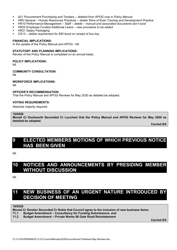- A21 Procurement Purchasing and Tenders *deleted from APOG now in Policy Manual*
- HR5 General Human Resources Practices *delete Shire of Kulin Training and Development Practice*
- HR10 Performance Management Staff *delete – manual and associated documents don't exist*
- HR20 Employee Funded Additional Leave *new procedure to be added*
- **HR21 Salary Packaging**
- CS13 *delete requirement for \$50 bond on receipt of bus key*

#### **FINANCIAL IMPLICATIONS:**

In the update of the Policy Manual and APOG - Nil.

#### **STATUTORY AND PLANNING IMPLICATIONS:**

Review of the Policy Manual is completed on an annual basis.

#### **POLICY IMPLICATIONS:**

Nil

#### **COMMUNITY CONSULTATION:**

Nil

#### **WORKFORCE IMPLICATIONS:**

Nil

#### **OFFICER'S RECOMMENDATION:**

That the Policy Manual and APOG Reviews for May 2020 as detailed be adopted.

#### **VOTING REQUIREMENTS:**

Absolute majority required.

#### **15/0520**

**Moved Cr Duckworth Seconded Cr Lucchesi that the Policy Manual and APOG Reviews for May 2020 as detailed be adopted.**

**Carried 9/0**

# **9 ELECTED MEMBERS MOTIONS OF WHICH PREVIOUS NOTICE HAS BEEN GIVEN**

Nil

# **10 NOTICES AND ANNOUNCEMENTS BY PRESIDING MEMBER WITHOUT DISCUSSION**

Nil

# **11 NEW BUSINESS OF AN URGENT NATURE INTRODUCED BY DECISION OF MEETING**

**16/0520**

**Moved Cr Smoker Seconded Cr Noble that Council agree to the inclusion of new business items:**

- **11.1 Budget Amendment – Consultancy for Funding Submissions, and**
- **11.2 Budget Amendment – Private Works 86 Gate Road Reinstatement**

**Carried 9/0**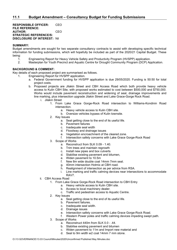**RESPONSIBLE OFFICER:** CEO **FILE REFERENCE: AUTHOR:** CEO **STRATEGIC REFERENCE/S: DISCLOSURE OF INTEREST:** Nil

#### **SUMMARY:**

Budget amendments are sought for two separate consultancy contracts to assist with developing specific technical information for funding submissions, which will hopefully be included as part of the 2020/21 Capital Budget. These being:

- 1. Engineering Report for Heavy Vehicle Safety and Productivity Program (HVSPP) application.<br>2. Masterplan for Youth Precinct and Aguatic Centre for Drought Community Program (DCP) Ap
- 2. Masterplan for Youth Precinct and Aquatic Centre for Drought Community Program (DCP) Application.

#### **BACKGROUND & COMMENT:**

Key details of each proposed project are summarised as follows.<br>1. Engineering Report for HVSPP application.

- Engineering Report for HVSPP application.
	- a. Federal Government funding for HVSPP application is due 29/05/2020. Funding is 50:50 for total project costs.
	- b. Proposed projects are Jilakin Street and CBH Access Road which both provide heavy vehicle access to Kulin CBH Site, with proposed works estimated to cost between \$500,000 and \$750,000. Works would include pavement reconstruction and widening of seal, drainage improvements and line marking, plus intersection upgrade Jilakin Street and Lake Grace-Gorge Rock Road.
		- i. Jilakin Street
			- 1. From Lake Grace Gorge-Rock Road intersection to Williams-Kondinin Road intersection.
				- a. Heavy vehicle access to Kulin CBH site.
				- b. Oversize vehicles bypass of Kulin townsite.
			- 2. Key Issues
				- a. Seal getting close to the end of its useful life.
				- b. Pavement failures
				- c. Inadequate seal width
				- d. Floodway and drainage issues
				- e. Vegetation encroachment of the cleared zone.
				- f. Intersection safety concerns with Lake Grace Gorge-Rock Road
			- 3. Scope of Works
				- a. Reconstruct from SLK 0.09 1.40.
				- b. Trim trees and maintain regrowth
				- c. Install new pipes and box culverts
				- d. Stabilise existing pavement and bitumen,
				- e. Widen pavement to 10.5m<br>f. New 8m wide double coat
				- New 8m wide double coat 14mm 7mm seal.
				- g. 40mm intersection Hotmix at CBH road.
				- h. Realignment of intersection as per advice from RSA.
				- i. Line marking and traffic calming devices near intersections to accommodate RAV7.
		- ii. CBH Access Road
			- 1. From Lake Grace Gorge-Rock Road intersection to CBH Entry
				- a. Heavy vehicle access to Kulin CBH site.
					- b. Access to local machinery dealer.
				- c. Traffic and pedestrian access to Aquatic Centre.
			- 2. Key Issues
				- a. Seal getting close to the end of its useful life.
				- b. Pavement failures.
				- c. Inadequate seal width.
				- d. Drainage issues
				- e. Intersection safety concerns with Lake Grace Gorge-Rock Road.
				- f. Western Power poles and traffic calming devices impeding swept path.
			- 3. Scope of Works
				- a. Reconstruct 440m from SLK 0.0 .44.
				- b. Stabilise existing pavement and bitumen
				- c. Widen pavement to 11m and Import new material and
				- d. Seal to 9m width w2 coat 14mm 7 mm stone.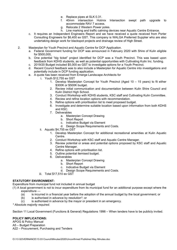- e. Replace pipes at SLK 0.31.
- f. 40mm intersection Hotmix Intersection swept path upgrade to accommodate RAV 7 access.
- g. Relocate 2 Western Power poles.
- h. Line marking and traffic calming devices near Aquatic Centre Entrance.
- c. It requires an Independent Engineers Report and we have received a quote received from Porter Consulting Engineers for \$6,400 ex GST. This company is WALGA Preferred Supplier who are also undertaking design work for blackspot projects and drainage review of High Street.
- 2. Masterplan for Youth Precinct and Aquatic Centre for DCP Application.
	- a. Federal Government funding for DCP was announced in February 2020 with Shire of Kulin eligible for \$500,000,
	- b. One potential "big ticket" project identified for DCP was a Youth Precinct. This was based upon feedback from KDHS students, as well as potential opportunities with Cultivating Kulin Inc. funding.
	- c. 2019/20 Budget included \$5,000 ex GST to investigate options for a Youth Precinct.
	- d. Recent Council feedback was to also include a Masterplan for Aquatic Centre into investigations and potentially include in DCP funding application.
	- e. A quote has been received from Emerge Landscape Architects for
		- i. Youth \$12,755 ex GST
			- 1. Develop Masterplan Concept for Youth Precinct (Aged 10 15 years) to fit either \$300K or \$500K budget.
			- 2. Review initial communication and documentation between Kulin Shire Council and Kulin District High School.
			- 3. Conduct Workshop with KDHS students, KSC staff and Cultivating Kulin Committee.
			- 4. Review and refine location options with recommendation.
			- 5. Refine options with prioritisation list to meet proposed budget.
			- 6. Investigate and determine suitable location based upon information from both KDHS and KSC.
			- 7. Deliverables
				- a. Masterplan Concept Drawing
				- b. Short Report
				- c. Indicative Budget via Element
				- d. Design Scope Requirements and Costs.
		- ii. Aquatic \$4,755 ex GST
			- 1. Develop Masterplan Concept for additional recreational amenities at Kulin Aquatic Centre.
			- 2. Conduct Workshop with KSC staff and Aquatic Centre Manager.
			- 3. Review potential or areas and potential options proposed by KSC staff and Aquatic Centre Manager.
			- 4. Refine options with prioritisation list.
			- 5. Outline potential itemised budget.
			- 6. Deliverables
				- a. Masterplan Concept Drawing
					- b. Short Report
					- c. Indicative Budget via Element
					- d. Design Scope Requirements and Costs.
		- iii. Total \$17,510 ex GST

## **STATUTORY ENVIRONMENT:**

Expenditure from municipal fund not included in annual budget

(1) A local government is not to incur expenditure from its municipal fund for an additional purpose except where the expenditure —

- (a) is incurred in a financial year before the adoption of the annual budget by the local government; or
- (b) is authorised in advance by resolution\*; or
- (c) is authorised in advance by the mayor or president in an emergency.

*\* Absolute majority required.*

Section 11 Local Government (Functions & General) Regulations 1996 – When tenders have to be publicly invited.

## **POLICY IMPLICATIONS:**

APOG & Policy Manual A5 – Budget Preparation A22 – Procurement, Purchasing and Tenders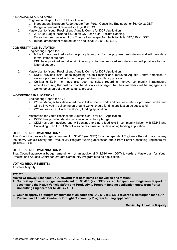#### **FINANCIAL IMPLICATIONS:**

- 1. Engineering Report for HVSPP application.
	- a. Independent Engineers Report quote from Porter Consulting Engineers for \$6,400 ex GST.
	- b. Budget amendment required for \$6,400 ex GST.
- 2. Masterplan for Youth Precinct and Aquatic Centre for DCP Application
	- a. 2019/20 Budget included \$5,000 ex GST for Youth Precinct planning.
	- b. Quote has been received from Emerge Landscape Architects for Total \$17,510 ex GST.
	- c. Budget amendment required for an additional \$12,510 ex GST.

## **COMMUNITY CONSULTATION:**

- 1. Engineering Report for HVSPP.
	- a. MRWA have provided verbal in principle support for the proposed submission and will provide a formal letter of support.
	- b. CBH have provided verbal in principle support for the proposed submission and will provide a formal letter of support.
- 2. Masterplan for Youth Precinct and Aquatic Centre for DCP Application.
	- a. KDHS provided initial ideas regarding Youth Precinct and improved Aquatic Centre amenities, a workshop is proposed with them as part of the consultancy process.
	- b. Cultivating Kulin Inc. have also been consulted regarding improve community infrastructure amenities during the past 12 months, it is also envisaged that their members will be engaged in a workshop as part of the consultancy process.

## **WORKFORCE IMPLICATIONS:**

- 1. Engineering Report for HVSPP.
	- a. Works Manager has developed the initial scope of work and cost estimate for proposed works and will be involved in delivering on-ground works should funding application be successful.
	- b. WM will assist CEO with developing funding application.
- 2. Masterplan for Youth Precinct and Aquatic Centre for DCP Application.
	- a. DCEO has provided details on remain consultancy budget.
	- b. CDM has been involved and will continue to play a lead role in community liaison with KDHS and Cultivating Kulin Inc. CDM will also be responsible for developing funding application.

## **OFFICER'S RECOMMENDATION 1**

That Council approve a budget amendment of \$6,400 (ex. GST) for an Independent Engineers Report to accompany the Heavy Vehicle Safety and Productivity Program funding application quote from Porter Consulting Engineers for \$6,400 ex GST.

## **OFFICER'S RECOMMENDATION 2**

That Council approve a budget amendment of an additional \$12,510 (ex. GST) towards a Masterplan for Youth Precinct and Aquatic Centre for Drought Community Program funding application.

## **VOTING REQUIREMENTS:**

Absolute Majority.

#### **17/0520**

**Moved Cr Bowey Seconded Cr Duckworth that both items be moved as one motion:**

- **1. Council approve a budget amendment of \$6,400 (ex. GST) for an Independent Engineers Report to accompany the Heavy Vehicle Safety and Productivity Program funding application quote from Porter Consulting Engineers for \$6,400 ex GST.**
- **2. Council approve a budget amendment of an additional \$12,510 (ex. GST) towards a Masterplan for Youth Precinct and Aquatic Centre for Drought Community Program funding application.**

**Carried by Absolute Majority**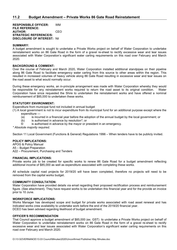**RESPONSIBLE OFFICER:** WM **FILE REFERENCE: AUTHOR:** CEO **STRATEGIC REFERENCE/S: DISCLOSURE OF INTEREST:** Nil

#### **SUMMARY:**

A budget amendment is sought to undertake a Private Works project on behalf of Water Corporation to undertake reinstatement works on 86 Gate Road in the form of a gravel re-sheet to rectify excessive wear and tear issues associated with Water Corporation's significant water carting requirements on this road over February and March 2020.

#### **BACKGROUND & COMMENT:**

Over the course of February and March 2020, Water Corporation installed additional standpipes on their pipeline along 86 Gate Road to facilitate emergency water carting from this source to other areas within the region. This resulted in increased volumes of heavy vehicle along 86 Gate Road resulting in excessive wear and tear issues on the road asset to what would normally occur.

During these emergency works, an in-principle arrangement was made with Water Corporation whereby they would be responsible for any reinstatement works required to return the road asset to its original condition. Water Corporation have since requested the Shire to undertaken the reinstatement works and have offered a nominal reimbursement of \$85,000 to undertaken these works.

#### **STATUTORY ENVIRONMENT:**

Expenditure from municipal fund not included in annual budget

(1) A local government is not to incur expenditure from its municipal fund for an additional purpose except where the expenditure —

- (a) is incurred in a financial year before the adoption of the annual budget by the local government; or
- (b) is authorised in advance by resolution\*; or
- © is authorised in advance by the mayor or president in an emergency.

*\* Absolute majority required.*

Section 11 Local Government (Functions & General) Regulations 1996 – When tenders have to be publicly invited.

#### **POLICY IMPLICATIONS:**

APOG & Policy Manual A5 – Budget Preparation A22 – Procurement, Purchasing and Tenders

#### **FINANCIAL IMPLICATIONS:**

Private works job to be created for specific works to renew 86 Gate Road for a budget amendment reflecting additional income of \$85,000 as well as expenditure associated with completing these works.

All schedule capital road projects for 2019/20 will have been completed, therefore no projects will need to be removed from the capital works budget.

#### **COMMUNITY CONSULTATION:**

Water Corporation have provided details via email regarding their proposed rectification process and reimbursement figure. (See attachment). They have request works to be undertaken this financial year and for the provide an invoice prior to 10 June.

#### **WORKFORCE IMPLICATIONS:**

Works Manager has developed scope and budget for private works associated with road asset renewal and has indicated works crew availability to undertake work before the end of the 2019/20 financial year. DCEO has been advised regarding likelihood of budget amendment.

#### **OFFICER'S RECOMMENDATION**

That Council approve a budget amendment of \$85,000 (ex. GST) to undertake a Private Works project on behalf of Water Corporation to undertake reinstatement works on 86 Gate Road in the form of a gravel re-sheet to rectify excessive wear and tear issues associated with Water Corporation's significant water carting requirements on this road over February and March 2020.